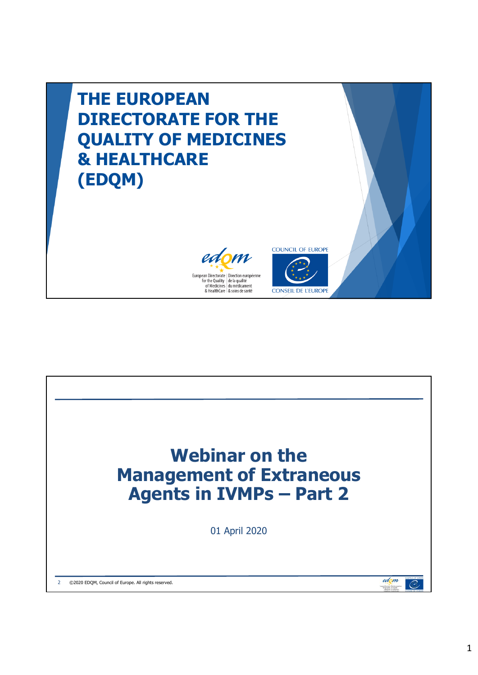

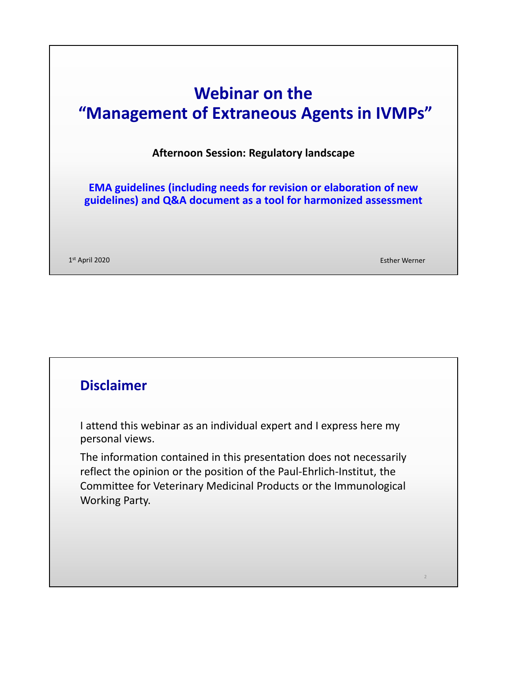# **Webinar on the "Management of Extraneous Agents in IVMPs"**

**Afternoon Session: Regulatory landscape**

**EMA guidelines (including needs for revision or elaboration of new guidelines) and Q&A document as a tool for harmonized assessment**

1st April 2020 Esther Werner

2

## **Disclaimer**

I attend this webinar as an individual expert and I express here my personal views.

The information contained in this presentation does not necessarily reflect the opinion or the position of the Paul-Ehrlich-Institut, the Committee for Veterinary Medicinal Products or the Immunological Working Party.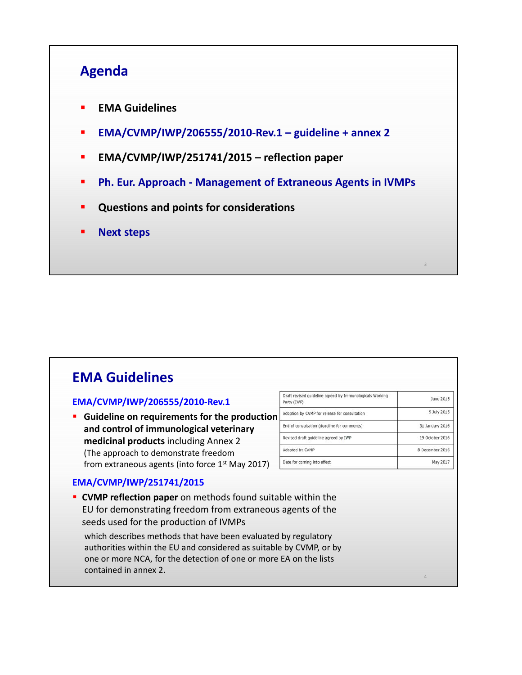## **Agenda**

- **EMA Guidelines**
- **EMA/CVMP/IWP/206555/2010-Rev.1 guideline + annex 2**
- **EMA/CVMP/IWP/251741/2015 reflection paper**
- **Ph. Eur. Approach Management of Extraneous Agents in IVMPs**
- **Questions and points for considerations**
- **Next steps**

## **EMA Guidelines**

#### **EMA/CVMP/IWP/206555/2010-Rev.1**

 **Guideline on requirements for the production and control of immunological veterinary medicinal products** including Annex 2 (The approach to demonstrate freedom from extraneous agents (into force  $1<sup>st</sup>$  May 2017)

| Draft revised quideline agreed by Immunologicals Working<br>Party (IWP) | June 2015       |
|-------------------------------------------------------------------------|-----------------|
| Adoption by CVMP for release for consultation                           | 9 July 2015     |
| End of consultation (deadline for comments)                             | 31 January 2016 |
| Revised draft guideline agreed by IWP                                   | 19 October 2016 |
| Adopted by CVMP                                                         | 8 December 2016 |
| Date for coming into effect                                             | May 2017        |

3

4

#### **EMA/CVMP/IWP/251741/2015**

 **CVMP reflection paper** on methods found suitable within the EU for demonstrating freedom from extraneous agents of the seeds used for the production of IVMPs

which describes methods that have been evaluated by regulatory authorities within the EU and considered as suitable by CVMP, or by one or more NCA, for the detection of one or more EA on the lists contained in annex 2.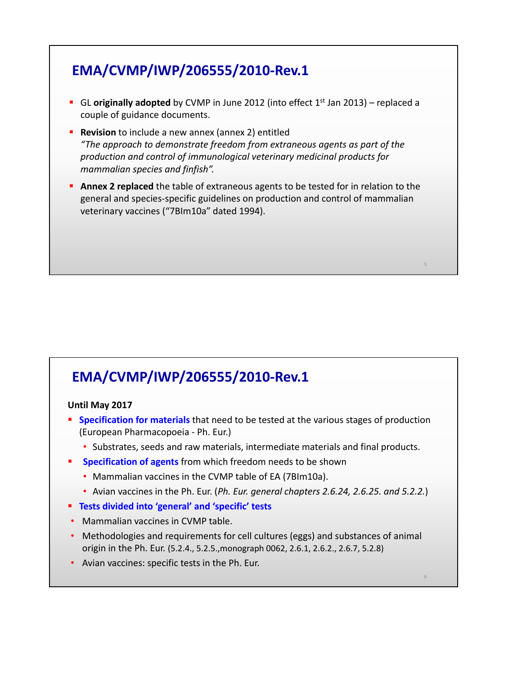## **EMA/CVMP/IWP/206555/2010-Rev.1**

- **GL originally adopted** by CVMP in June 2012 (into effect 1<sup>st</sup> Jan 2013) replaced a couple of guidance documents.
- **Revision** to include a new annex (annex 2) entitled *"The approach to demonstrate freedom from extraneous agents as part of the production and control of immunological veterinary medicinal products for mammalian species and finfish".*
- **Annex 2 replaced** the table of extraneous agents to be tested for in relation to the general and species-specific guidelines on production and control of mammalian veterinary vaccines ("7BIm10a" dated 1994).

5

6

## **EMA/CVMP/IWP/206555/2010-Rev.1**

#### **Until May 2017**

- **Specification for materials** that need to be tested at the various stages of production (European Pharmacopoeia - Ph. Eur.)
	- Substrates, seeds and raw materials, intermediate materials and final products.
	- **Specification of agents** from which freedom needs to be shown
		- Mammalian vaccines in the CVMP table of EA (7BIm10a).
		- Avian vaccines in the Ph. Eur. (*Ph. Eur. general chapters 2.6.24, 2.6.25. and 5.2.2.*)
- **Tests divided into 'general' and 'specific' tests**
- Mammalian vaccines in CVMP table.
- Methodologies and requirements for cell cultures (eggs) and substances of animal origin in the Ph. Eur. (5.2.4., 5.2.5.,monograph 0062, 2.6.1, 2.6.2., 2.6.7, 5.2.8)
- Avian vaccines: specific tests in the Ph. Eur.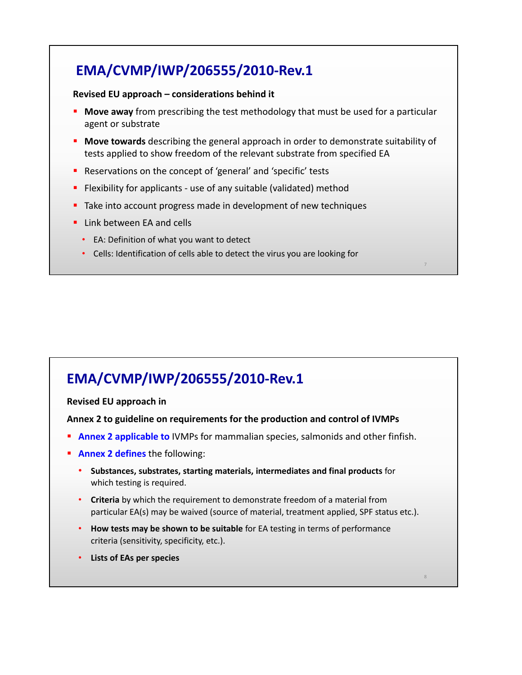## **EMA/CVMP/IWP/206555/2010-Rev.1**

#### **Revised EU approach – considerations behind it**

- **Move away** from prescribing the test methodology that must be used for a particular agent or substrate
- **Move towards** describing the general approach in order to demonstrate suitability of tests applied to show freedom of the relevant substrate from specified EA
- **Reservations on the concept of 'general' and 'specific' tests**
- **Filexibility for applicants use of any suitable (validated) method**
- Take into account progress made in development of new techniques
- **Link between EA and cells** 
	- EA: Definition of what you want to detect
	- Cells: Identification of cells able to detect the virus you are looking for

## **EMA/CVMP/IWP/206555/2010-Rev.1**

#### **Revised EU approach in**

#### **Annex 2 to guideline on requirements for the production and control of IVMPs**

- **Annex 2 applicable to** IVMPs for mammalian species, salmonids and other finfish.
- **Annex 2 defines** the following:
	- **Substances, substrates, starting materials, intermediates and final products** for which testing is required.
	- **Criteria** by which the requirement to demonstrate freedom of a material from particular EA(s) may be waived (source of material, treatment applied, SPF status etc.).

8

- **How tests may be shown to be suitable** for EA testing in terms of performance criteria (sensitivity, specificity, etc.).
- **Lists of EAs per species**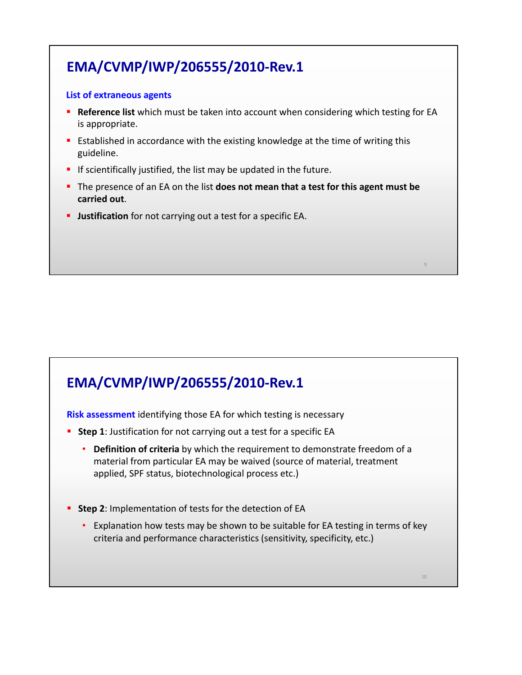# **EMA/CVMP/IWP/206555/2010-Rev.1**

#### **List of extraneous agents**

- **Reference list** which must be taken into account when considering which testing for EA is appropriate.
- **Example 1** Established in accordance with the existing knowledge at the time of writing this guideline.
- If scientifically justified, the list may be updated in the future.
- The presence of an EA on the list **does not mean that a test for this agent must be carried out**.

9

10

**Justification** for not carrying out a test for a specific EA.

## **EMA/CVMP/IWP/206555/2010-Rev.1**

**Risk assessment** identifying those EA for which testing is necessary

- **Step 1**: Justification for not carrying out a test for a specific EA
	- **Definition of criteria** by which the requirement to demonstrate freedom of a material from particular EA may be waived (source of material, treatment applied, SPF status, biotechnological process etc.)
- **Step 2**: Implementation of tests for the detection of EA
	- Explanation how tests may be shown to be suitable for EA testing in terms of key criteria and performance characteristics (sensitivity, specificity, etc.)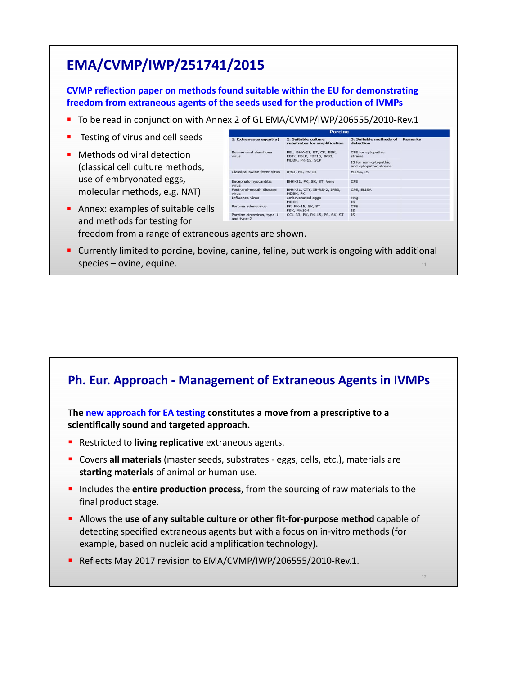## **EMA/CVMP/IWP/251741/2015**

**CVMP reflection paper on methods found suitable within the EU for demonstrating freedom from extraneous agents of the seeds used for the production of IVMPs** 

- To be read in conjunction with Annex 2 of GL EMA/CVMP/IWP/206555/2010-Rev.1
- Testing of virus and cell seeds
- **Methods od viral detection** (classical cell culture methods, use of embryonated eggs, molecular methods, e.g. NAT)

| <b>Porcine</b>                           |                                                                           |                                                 |                |  |
|------------------------------------------|---------------------------------------------------------------------------|-------------------------------------------------|----------------|--|
| $1.$ Extraneous agent(s)                 | 2. Suitable culture<br>substrates for amplification                       | 3. Suitable methods of<br>detection             | <b>Remarks</b> |  |
| Bovine viral diarrhoea<br><b>Virus</b>   | BEL, BHK-21, BT, CK, EBK,<br>EBTr, FBLP, FBT10, IPB3,<br>MDBK, PK-15, SCP | CPE for cytopathic<br>strains                   |                |  |
|                                          |                                                                           | IS for non-cytopathic<br>and cytopathic strains |                |  |
| Classical swine fever virus              | IPB3, PK, PK-15                                                           | ELISA, IS                                       |                |  |
| Encephalomyocarditis<br><b>Virus</b>     | BHK-21, PK, SK, ST, Vero                                                  | CPE                                             |                |  |
| Foot-and-mouth disease<br>virus          | BHK-21, CTY, IB-RS-2, IPB3,<br>MDBK, PK                                   | CPE, ELISA                                      |                |  |
| Influenza virus                          | embryonated eggs<br><b>MDCK</b>                                           | <b>HAg</b><br><b>IS</b>                         |                |  |
| Porcine adenovirus                       | PK, PK-15, SK, ST<br>FSK, MA104                                           | CPE<br><b>IS</b>                                |                |  |
| Porcine circovirus, type-1<br>and type-2 | CCL-33, PK, PK-15, PS, SK, ST                                             | <b>IS</b>                                       |                |  |

12

- Annex: examples of suitable cells and methods for testing for freedom from a range of extraneous agents are shown.
- 11 Currently limited to porcine, bovine, canine, feline, but work is ongoing with additional species – ovine, equine.

### **Ph. Eur. Approach - Management of Extraneous Agents in IVMPs**

**The new approach for EA testing constitutes a move from a prescriptive to a scientifically sound and targeted approach.** 

- **Restricted to living replicative** extraneous agents.
- Covers **all materials** (master seeds, substrates eggs, cells, etc.), materials are **starting materials** of animal or human use.
- **Includes the entire production process**, from the sourcing of raw materials to the final product stage.
- Allows the **use of any suitable culture or other fit-for-purpose method** capable of detecting specified extraneous agents but with a focus on in-vitro methods (for example, based on nucleic acid amplification technology).
- Reflects May 2017 revision to EMA/CVMP/IWP/206555/2010-Rev.1.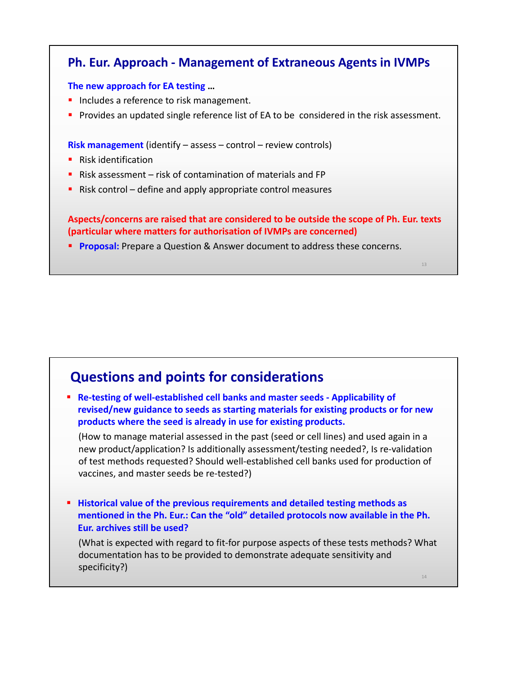### **Ph. Eur. Approach - Management of Extraneous Agents in IVMPs**

#### **The new approach for EA testing …**

- **Includes a reference to risk management.**
- **Provides an updated single reference list of EA to be considered in the risk assessment.**

**Risk management** (identify – assess – control – review controls)

- **Risk identification**
- Risk assessment risk of contamination of materials and FP
- $\blacksquare$  Risk control define and apply appropriate control measures

**Aspects/concerns are raised that are considered to be outside the scope of Ph. Eur. texts (particular where matters for authorisation of IVMPs are concerned)**

13

14

**Proposal:** Prepare a Question & Answer document to address these concerns.

## **Questions and points for considerations**

 **Re-testing of well-established cell banks and master seeds - Applicability of revised/new guidance to seeds as starting materials for existing products or for new products where the seed is already in use for existing products.**

(How to manage material assessed in the past (seed or cell lines) and used again in a new product/application? Is additionally assessment/testing needed?, Is re-validation of test methods requested? Should well-established cell banks used for production of vaccines, and master seeds be re-tested?)

 **Historical value of the previous requirements and detailed testing methods as mentioned in the Ph. Eur.: Can the "old" detailed protocols now available in the Ph. Eur. archives still be used?** 

(What is expected with regard to fit-for purpose aspects of these tests methods? What documentation has to be provided to demonstrate adequate sensitivity and specificity?)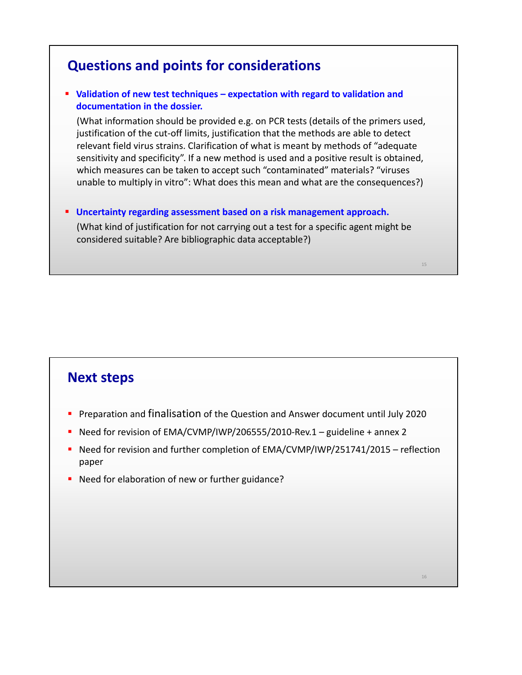## **Questions and points for considerations**

### **Validation of new test techniques – expectation with regard to validation and documentation in the dossier.**

(What information should be provided e.g. on PCR tests (details of the primers used, justification of the cut-off limits, justification that the methods are able to detect relevant field virus strains. Clarification of what is meant by methods of "adequate sensitivity and specificity". If a new method is used and a positive result is obtained, which measures can be taken to accept such "contaminated" materials? "viruses unable to multiply in vitro": What does this mean and what are the consequences?)

 **Uncertainty regarding assessment based on a risk management approach.** (What kind of justification for not carrying out a test for a specific agent might be considered suitable? Are bibliographic data acceptable?)

15

16

### **Next steps**

- **Preparation and finalisation of the Question and Answer document until July 2020**
- Need for revision of  $EMA/CVMP/IVP/206555/2010$ -Rev.1 guideline + annex 2
- Need for revision and further completion of EMA/CVMP/IWP/251741/2015 reflection paper
- Need for elaboration of new or further guidance?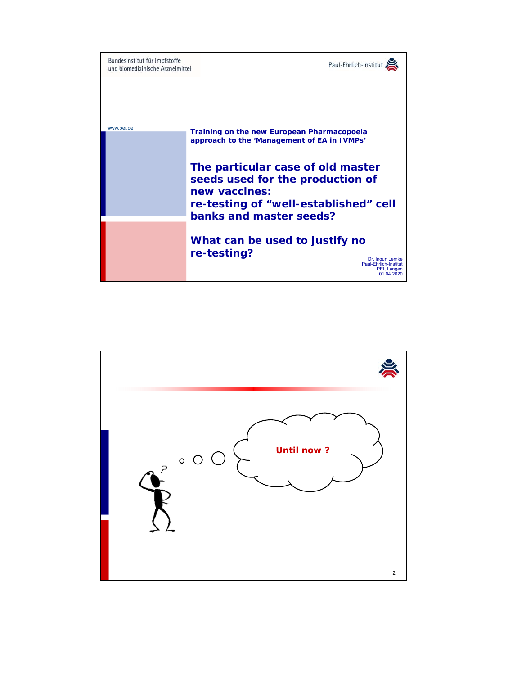

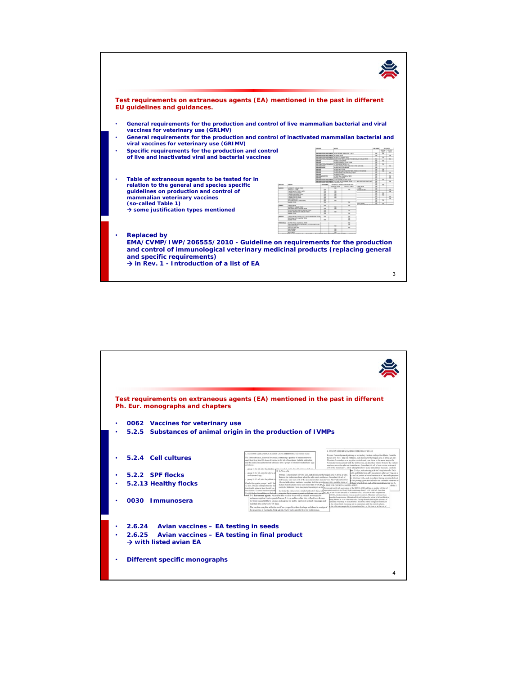

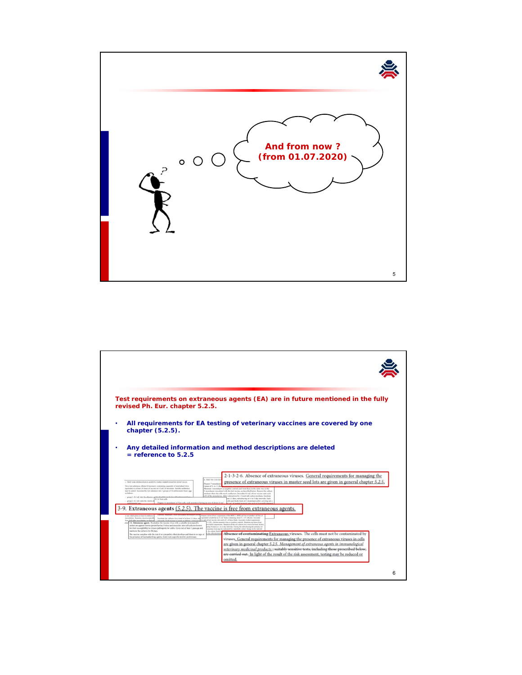

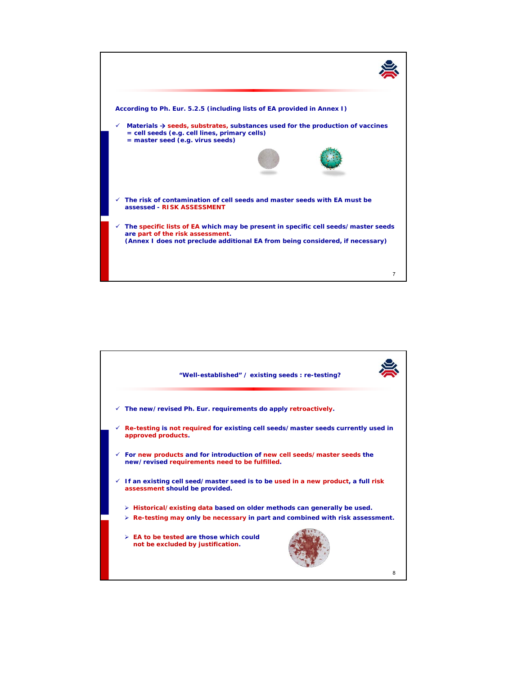

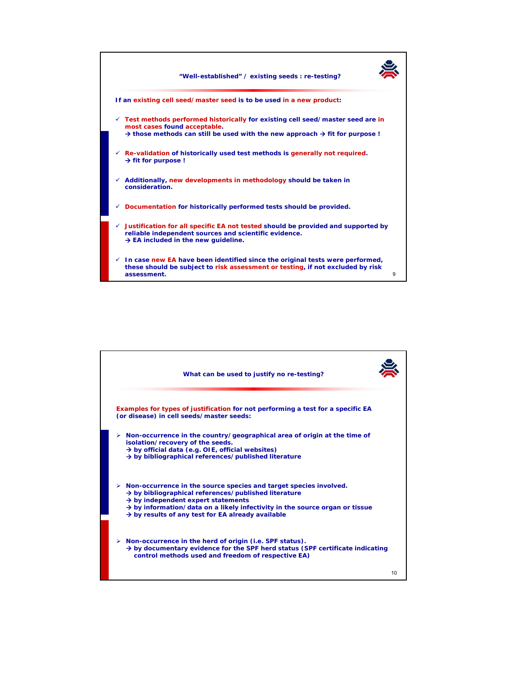

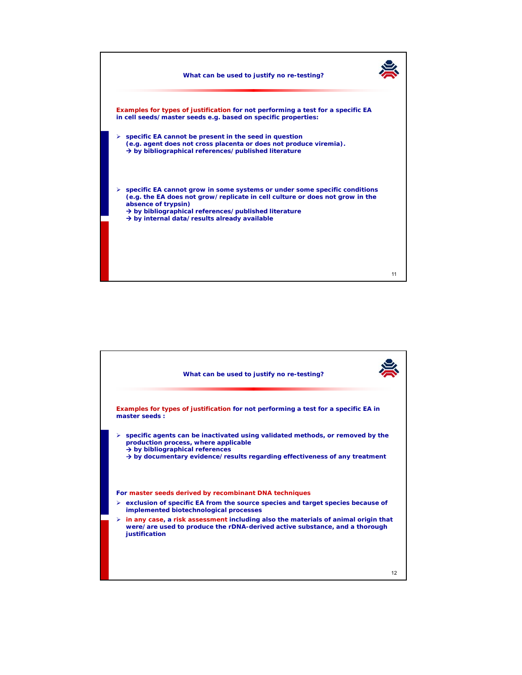

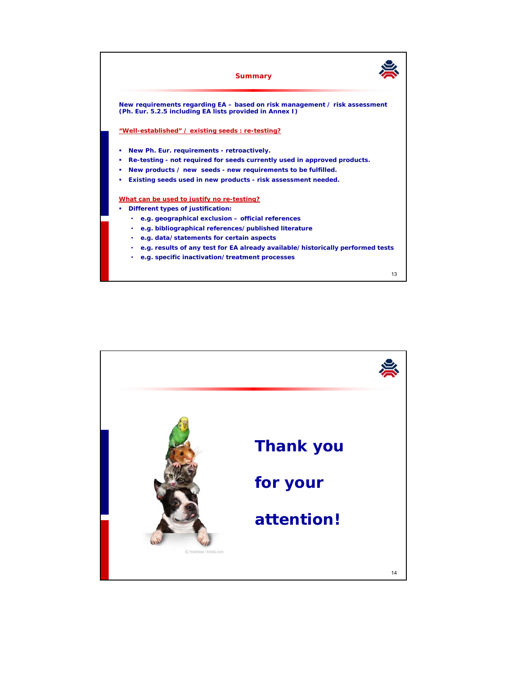

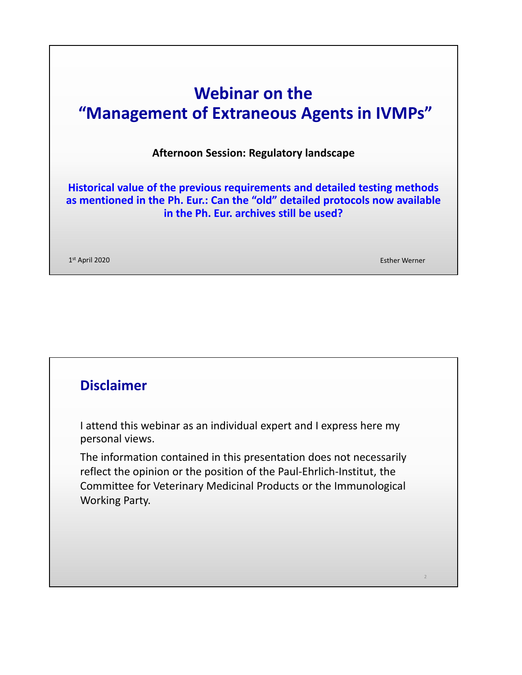# **Webinar on the "Management of Extraneous Agents in IVMPs"**

**Afternoon Session: Regulatory landscape**

**Historical value of the previous requirements and detailed testing methods as mentioned in the Ph. Eur.: Can the "old" detailed protocols now available in the Ph. Eur. archives still be used?** 

1st April 2020 Esther Werner

2

## **Disclaimer**

I attend this webinar as an individual expert and I express here my personal views.

The information contained in this presentation does not necessarily reflect the opinion or the position of the Paul-Ehrlich-Institut, the Committee for Veterinary Medicinal Products or the Immunological Working Party.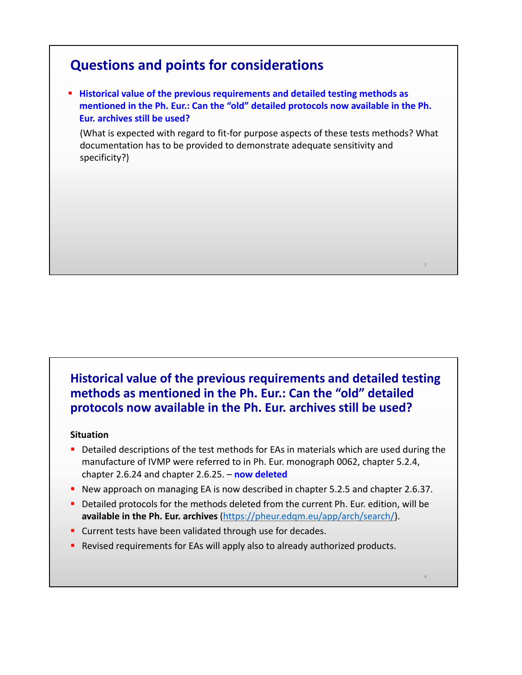## **Questions and points for considerations**

**Historical value of the previous requirements and detailed testing methods as mentioned in the Ph. Eur.: Can the "old" detailed protocols now available in the Ph. Eur. archives still be used?** 

(What is expected with regard to fit-for purpose aspects of these tests methods? What documentation has to be provided to demonstrate adequate sensitivity and specificity?)

3

4

### **Historical value of the previous requirements and detailed testing methods as mentioned in the Ph. Eur.: Can the "old" detailed protocols now available in the Ph. Eur. archives still be used?**

#### **Situation**

- Detailed descriptions of the test methods for EAs in materials which are used during the manufacture of IVMP were referred to in Ph. Eur. monograph 0062, chapter 5.2.4, chapter 2.6.24 and chapter 2.6.25. – **now deleted**
- New approach on managing EA is now described in chapter 5.2.5 and chapter 2.6.37.
- Detailed protocols for the methods deleted from the current Ph. Eur. edition, will be **available in the Ph. Eur. archives** (https://pheur.edqm.eu/app/arch/search/).
- **Current tests have been validated through use for decades.**
- **P** Revised requirements for EAs will apply also to already authorized products.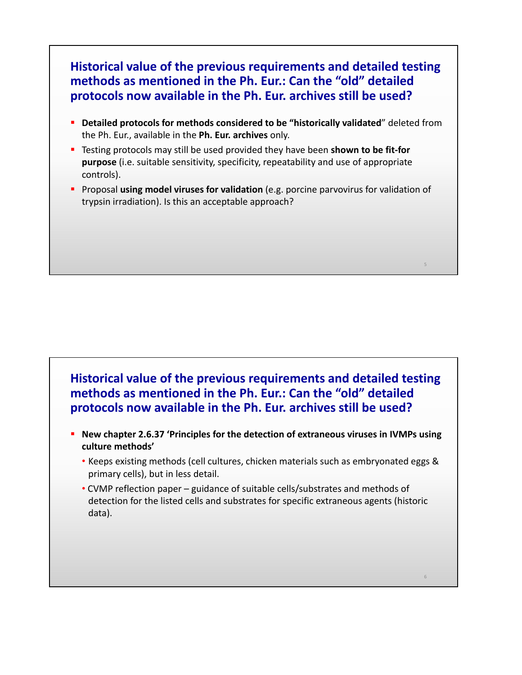### **Historical value of the previous requirements and detailed testing methods as mentioned in the Ph. Eur.: Can the "old" detailed protocols now available in the Ph. Eur. archives still be used?**

- **Detailed protocols for methods considered to be "historically validated**" deleted from the Ph. Eur., available in the **Ph. Eur. archives** only.
- Testing protocols may still be used provided they have been **shown to be fit-for purpose** (i.e. suitable sensitivity, specificity, repeatability and use of appropriate controls).
- **Proposal using model viruses for validation** (e.g. porcine parvovirus for validation of trypsin irradiation). Is this an acceptable approach?

5

6

### **Historical value of the previous requirements and detailed testing methods as mentioned in the Ph. Eur.: Can the "old" detailed protocols now available in the Ph. Eur. archives still be used?**

- **New chapter 2.6.37 'Principles for the detection of extraneous viruses in IVMPs using culture methods'** 
	- Keeps existing methods (cell cultures, chicken materials such as embryonated eggs & primary cells), but in less detail.
	- CVMP reflection paper guidance of suitable cells/substrates and methods of detection for the listed cells and substrates for specific extraneous agents (historic data).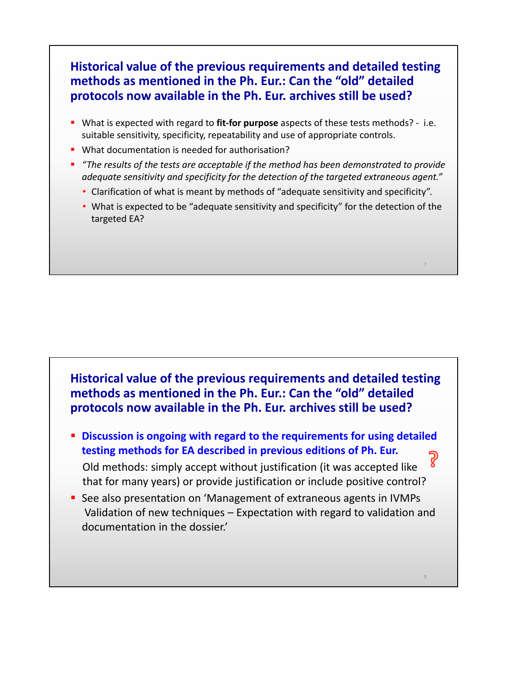### **Historical value of the previous requirements and detailed testing methods as mentioned in the Ph. Eur.: Can the "old" detailed protocols now available in the Ph. Eur. archives still be used?**

- What is expected with regard to **fit-for purpose** aspects of these tests methods? i.e. suitable sensitivity, specificity, repeatability and use of appropriate controls.
- **What documentation is needed for authorisation?**
- *"The results of the tests are acceptable if the method has been demonstrated to provide adequate sensitivity and specificity for the detection of the targeted extraneous agent."*
	- Clarification of what is meant by methods of "adequate sensitivity and specificity".
	- What is expected to be "adequate sensitivity and specificity" for the detection of the targeted EA?

**Historical value of the previous requirements and detailed testing methods as mentioned in the Ph. Eur.: Can the "old" detailed protocols now available in the Ph. Eur. archives still be used?**

- **Discussion is ongoing with regard to the requirements for using detailed testing methods for EA described in previous editions of Ph. Eur.**  Old methods: simply accept without justification (it was accepted like that for many years) or provide justification or include positive control?
- See also presentation on 'Management of extraneous agents in IVMPs Validation of new techniques – Expectation with regard to validation and documentation in the dossier.'

8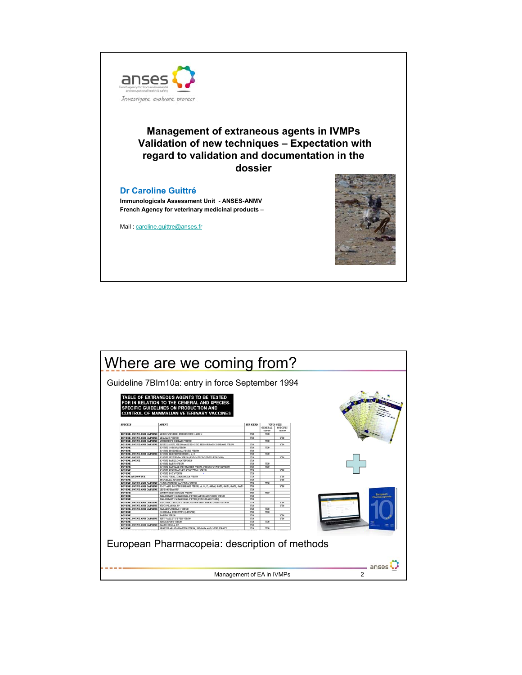

### **Management of extraneous agents in IVMPs Validation of new techniques – Expectation with regard to validation and documentation in the dossier**

#### **Dr Caroline Guittré**

**Immunologicals Assessment Unit** - **ANSES-ANMV French Agency for veterinary medicinal products –**

Mail: caroline.guittre@anses.fr



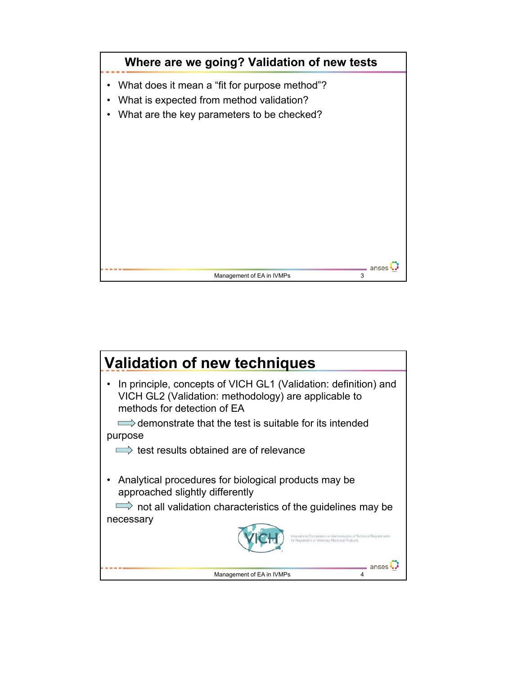

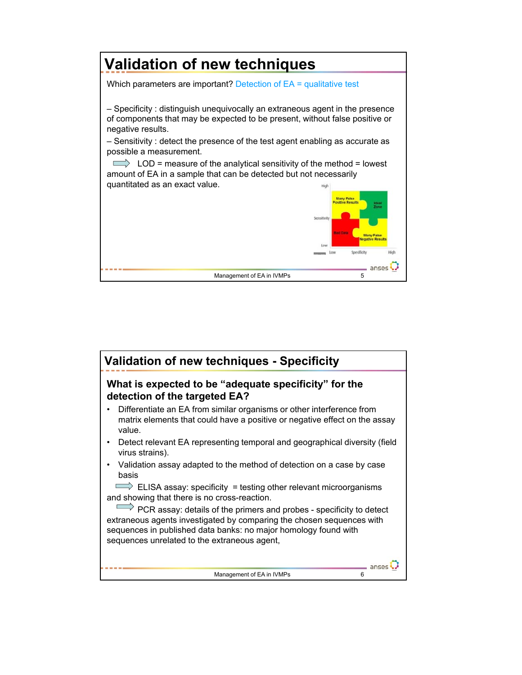

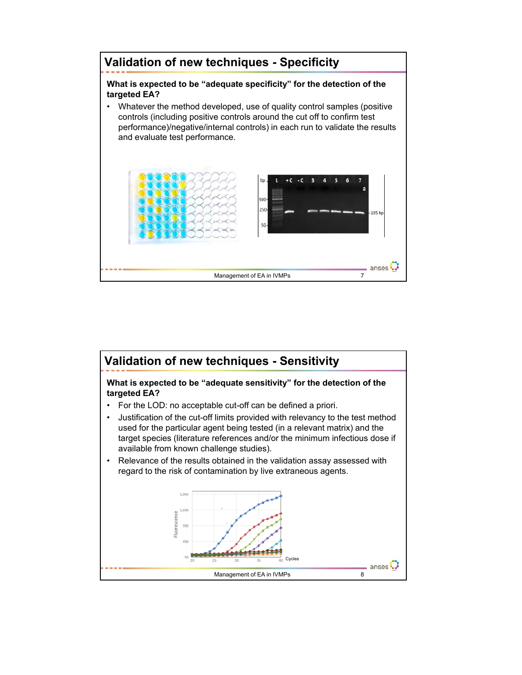

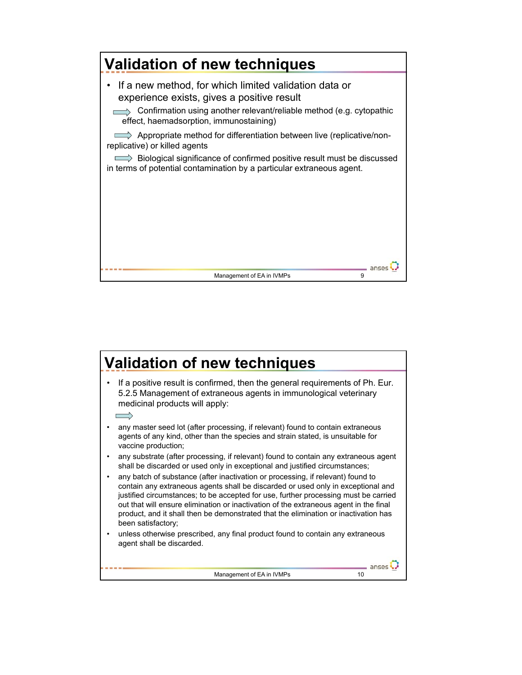